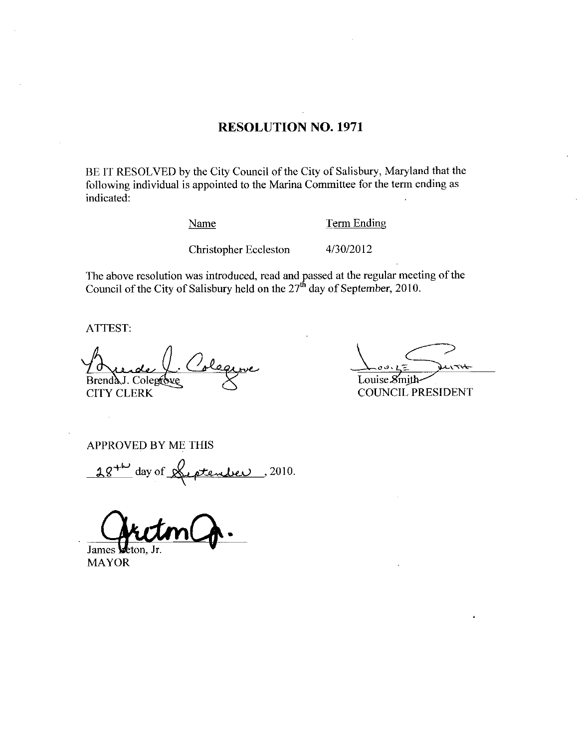## RESOLUTION NO. 1971

BE IT RESOLVED by the City Council of the City of Salisbury, Maryland that the following individual is appointed to the Marina Committee for the term ending as indicated Example appointed to the Marina Committee for the Marina Committee for the Marina Committee for the Marina Committee of the Marina Committee of the Marina Committee of the Marina Committee of the Marina Committee of the Ma

Name Term Ending

The above resolution was introduced, read and passed at the regular meeting of the Council of the City of Salisbury held on the  $27<sup>th</sup>$  day of September, 2010.

ATTEST

Brenda J. Colegrove  $\frac{1}{\sqrt{2}}$ CITY CLERK

Louise  $\mathcal{S}$ mith

COUNCIL PRESIDENT

APPROVED BY ME THIS

 $84^{\mu}$  day of <u>Hiptendier</u>, 2010.

h James **Weton**, Jr.

MAYOR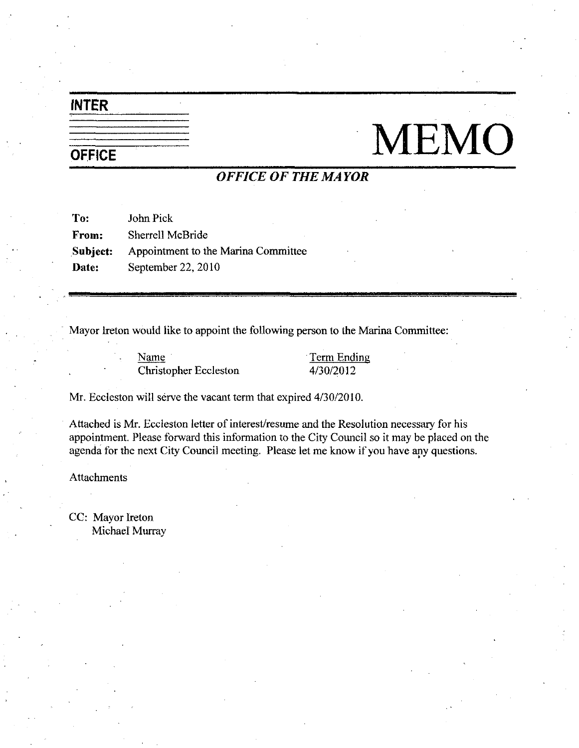# INTER

# $\begin{picture}(130,40) \put(0,0){\line(1,0){150}} \put(15,0){\line(1,0){150}} \put(15,0){\line(1,0){150}} \put(15,0){\line(1,0){150}} \put(15,0){\line(1,0){150}} \put(15,0){\line(1,0){150}} \put(15,0){\line(1,0){150}} \put(15,0){\line(1,0){150}} \put(15,0){\line(1,0){150}} \put(15,0){\line(1,0){150}} \put(15,0){\line(1,0){150}}$

# OFFICE OF THE MAYOR

To: John Pick From: Sherrell McBride Subject: Appointment to the Marina Committee Date: September 22, 2010

Mayor Ireton would like to appoint the following person to the Marina Committee vould like to appoint the following person to the<br>
Name<br>
Christopher Eccleston<br>
4/30/2012

Name Term Ending

Christopher Eccleston 4/30/2012<br>Mr. Eccleston will serve the vacant term that expired 4/30/2010.

Attached is Mr. Eccleston letter of interest/resume and the Resolution necessary for his appointment. Please forward this information to the City Council so it may be placed on the agenda for the next City Council meeting. Please let me know if you have any questions.

**Attachments** 

CC: Mayor Ireton Michael Murray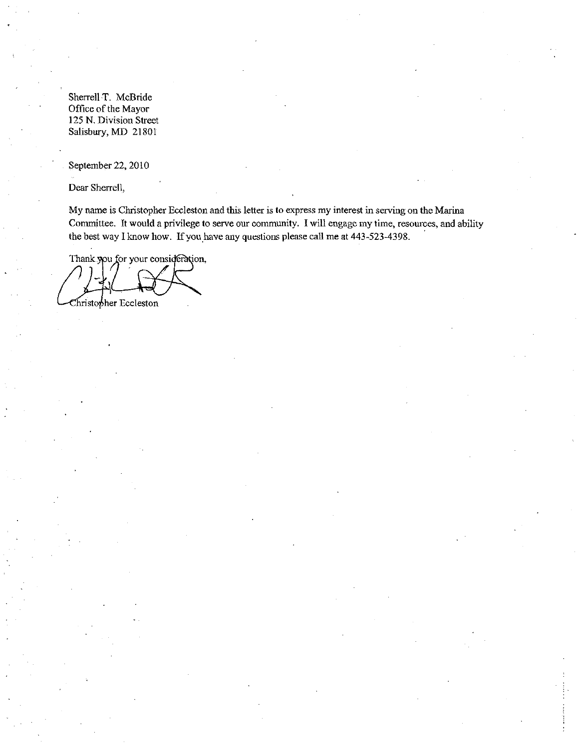Sherrell T. McBride Office of the Mayor 125 N. Division Street Salisbury, MD 21801

September 22, 2010

Dear Sherrell

My name is Christopher Eccleston and this letter is to express my interest in serving on the Marina Figure It would a privilege to serve our community. I will engage my time, resources, and ability the best way I know how. If you have any questions please call me at 443-523-4398.

Thank you for your consideration,

Christopher Eccleston